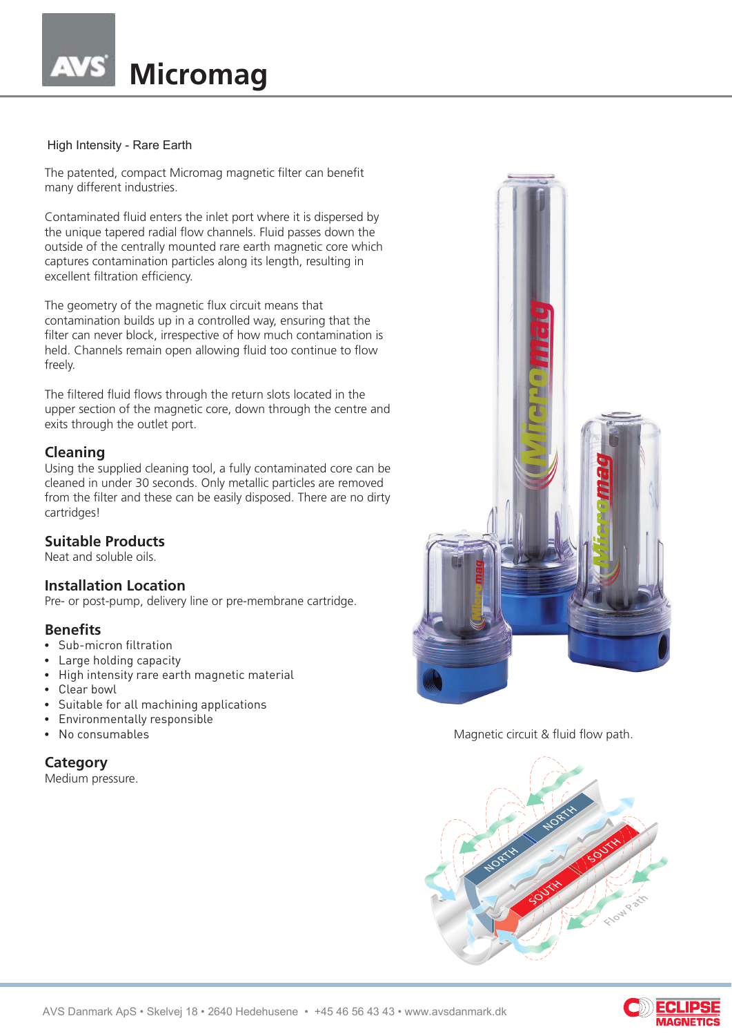# **Micromag**

#### High Intensity - Rare Earth

The patented, compact Micromag magnetic filter can benefit many different industries.

Contaminated fluid enters the inlet port where it is dispersed by the unique tapered radial flow channels. Fluid passes down the outside of the centrally mounted rare earth magnetic core which captures contamination particles along its length, resulting in excellent filtration efficiency.

The geometry of the magnetic flux circuit means that contamination builds up in a controlled way, ensuring that the filter can never block, irrespective of how much contamination is held. Channels remain open allowing fluid too continue to flow freely.

The filtered fluid flows through the return slots located in the upper section of the magnetic core, down through the centre and exits through the outlet port.

## **Cleaning**

Using the supplied cleaning tool, a fully contaminated core can be cleaned in under 30 seconds. Only metallic particles are removed from the filter and these can be easily disposed. There are no dirty cartridges!

## **Suitable Products**

Neat and soluble oils.

#### **Installation Location**

Pre- or post-pump, delivery line or pre-membrane cartridge.

#### **Benefits**

- Sub-micron filtration
- Large holding capacity
- High intensity rare earth magnetic material
- Clear bowl
- Suitable for all machining applications
- Environmentally responsible
- No consumables

## **Category**

Medium pressure.



Magnetic circuit & fluid flow path.